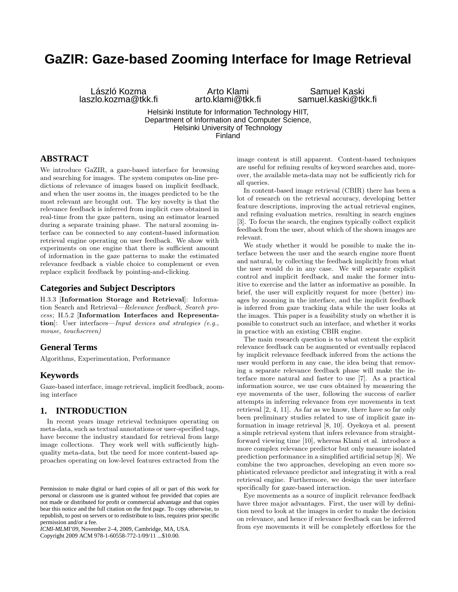# **GaZIR: Gaze-based Zooming Interface for Image Retrieval**

László Kozma laszlo.kozma@tkk.fi

Arto Klami arto.klami@tkk.fi

Samuel Kaski samuel.kaski@tkk.fi

Helsinki Institute for Information Technology HIIT, Department of Information and Computer Science, Helsinki University of Technology Finland

# **ABSTRACT**

We introduce GaZIR, a gaze-based interface for browsing and searching for images. The system computes on-line predictions of relevance of images based on implicit feedback, and when the user zooms in, the images predicted to be the most relevant are brought out. The key novelty is that the relevance feedback is inferred from implicit cues obtained in real-time from the gaze pattern, using an estimator learned during a separate training phase. The natural zooming interface can be connected to any content-based information retrieval engine operating on user feedback. We show with experiments on one engine that there is sufficient amount of information in the gaze patterns to make the estimated relevance feedback a viable choice to complement or even replace explicit feedback by pointing-and-clicking.

# **Categories and Subject Descriptors**

H.3.3 [Information Storage and Retrieval]: Information Search and Retrieval—*Relevance feedback, Search process*; H.5.2 [Information Interfaces and Representation]: User interfaces—*Input devices and strategies (e.g., mouse, touchscreen)*

## **General Terms**

Algorithms, Experimentation, Performance

#### **Keywords**

Gaze-based interface, image retrieval, implicit feedback, zooming interface

### **1. INTRODUCTION**

In recent years image retrieval techniques operating on meta-data, such as textual annotations or user-specified tags, have become the industry standard for retrieval from large image collections. They work well with sufficiently highquality meta-data, but the need for more content-based approaches operating on low-level features extracted from the

*ICMI-MLMI'09,* November 2–4, 2009, Cambridge, MA, USA. Copyright 2009 ACM 978-1-60558-772-1/09/11 ...\$10.00.

image content is still apparent. Content-based techniques are useful for refining results of keyword searches and, moreover, the available meta-data may not be sufficiently rich for all queries.

In content-based image retrieval (CBIR) there has been a lot of research on the retrieval accuracy, developing better feature descriptions, improving the actual retrieval engines, and refining evaluation metrics, resulting in search engines [3]. To focus the search, the engines typically collect explicit feedback from the user, about which of the shown images are relevant.

We study whether it would be possible to make the interface between the user and the search engine more fluent and natural, by collecting the feedback implicitly from what the user would do in any case. We will separate explicit control and implicit feedback, and make the former intuitive to exercise and the latter as informative as possible. In brief, the user will explicitly request for more (better) images by zooming in the interface, and the implicit feedback is inferred from gaze tracking data while the user looks at the images. This paper is a feasibility study on whether it is possible to construct such an interface, and whether it works in practice with an existing CBIR engine.

The main research question is to what extent the explicit relevance feedback can be augmented or eventually replaced by implicit relevance feedback inferred from the actions the user would perform in any case, the idea being that removing a separate relevance feedback phase will make the interface more natural and faster to use [7]. As a practical information source, we use cues obtained by measuring the eye movements of the user, following the success of earlier attempts in inferring relevance from eye movements in text retrieval [2, 4, 11]. As far as we know, there have so far only been preliminary studies related to use of implicit gaze information in image retrieval [8, 10]. Oyekoya et al. present a simple retrieval system that infers relevance from straightforward viewing time [10], whereas Klami et al. introduce a more complex relevance predictor but only measure isolated prediction performance in a simplified artificial setup [8]. We combine the two approaches, developing an even more sophisticated relevance predictor and integrating it with a real retrieval engine. Furthermore, we design the user interface specifically for gaze-based interaction.

Eye movements as a source of implicit relevance feedback have three major advantages. First, the user will by definition need to look at the images in order to make the decision on relevance, and hence if relevance feedback can be inferred from eye movements it will be completely effortless for the

Permission to make digital or hard copies of all or part of this work for personal or classroom use is granted without fee provided that copies are not made or distributed for profit or commercial advantage and that copies bear this notice and the full citation on the first page. To copy otherwise, to republish, to post on servers or to redistribute to lists, requires prior specific permission and/or a fee.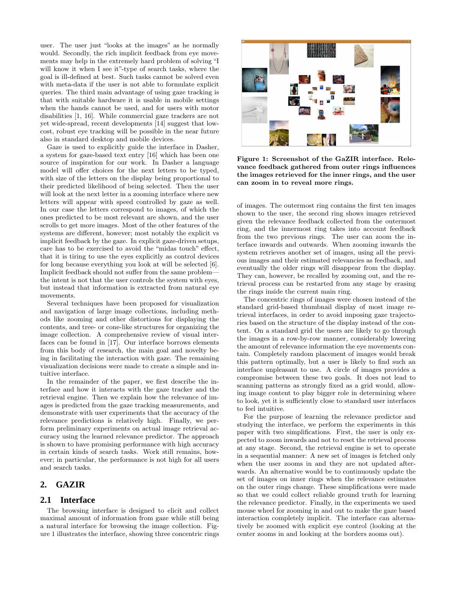user. The user just "looks at the images" as he normally would. Secondly, the rich implicit feedback from eye movements may help in the extremely hard problem of solving "I will know it when I see it"-type of search tasks, where the goal is ill-defined at best. Such tasks cannot be solved even with meta-data if the user is not able to formulate explicit queries. The third main advantage of using gaze tracking is that with suitable hardware it is usable in mobile settings when the hands cannot be used, and for users with motor disabilities [1, 16]. While commercial gaze trackers are not yet wide-spread, recent developments [14] suggest that lowcost, robust eye tracking will be possible in the near future also in standard desktop and mobile devices.

Gaze is used to explicitly guide the interface in Dasher, a system for gaze-based text entry [16] which has been one source of inspiration for our work. In Dasher a language model will offer choices for the next letters to be typed, with size of the letters on the display being proportional to their predicted likelihood of being selected. Then the user will look at the next letter in a zooming interface where new letters will appear with speed controlled by gaze as well. In our case the letters correspond to images, of which the ones predicted to be most relevant are shown, and the user scrolls to get more images. Most of the other features of the systems are different, however; most notably the explicit vs implicit feedback by the gaze. In explicit gaze-driven setups, care has to be exercised to avoid the "midas touch" effect, that it is tiring to use the eyes explicitly as control devices for long because everything you look at will be selected [6]. Implicit feedback should not suffer from the same problem the intent is not that the user controls the system with eyes, but instead that information is extracted from natural eye movements.

Several techniques have been proposed for visualization and navigation of large image collections, including methods like zooming and other distortions for displaying the contents, and tree- or cone-like structures for organizing the image collection. A comprehensive review of visual interfaces can be found in [17]. Our interface borrows elements from this body of research, the main goal and novelty being in facilitating the interaction with gaze. The remaining visualization decisions were made to create a simple and intuitive interface.

In the remainder of the paper, we first describe the interface and how it interacts with the gaze tracker and the retrieval engine. Then we explain how the relevance of images is predicted from the gaze tracking measurements, and demonstrate with user experiments that the accuracy of the relevance predictions is relatively high. Finally, we perform preliminary experiments on actual image retrieval accuracy using the learned relevance predictor. The approach is shown to have promising performance with high accuracy in certain kinds of search tasks. Work still remains, however; in particular, the performance is not high for all users and search tasks.

# **2. GAZIR**

### **2.1 Interface**

The browsing interface is designed to elicit and collect maximal amount of information from gaze while still being a natural interface for browsing the image collection. Figure 1 illustrates the interface, showing three concentric rings



Figure 1: Screenshot of the GaZIR interface. Relevance feedback gathered from outer rings influences the images retrieved for the inner rings, and the user can zoom in to reveal more rings.

of images. The outermost ring contains the first ten images shown to the user, the second ring shows images retrieved given the relevance feedback collected from the outermost ring, and the innermost ring takes into account feedback from the two previous rings. The user can zoom the interface inwards and outwards. When zooming inwards the system retrieves another set of images, using all the previous images and their estimated relevancies as feedback, and eventually the older rings will disappear from the display. They can, however, be recalled by zooming out, and the retrieval process can be restarted from any stage by erasing the rings inside the current main ring.

The concentric rings of images were chosen instead of the standard grid-based thumbnail display of most image retrieval interfaces, in order to avoid imposing gaze trajectories based on the structure of the display instead of the content. On a standard grid the users are likely to go through the images in a row-by-row manner, considerably lowering the amount of relevance information the eye movements contain. Completely random placement of images would break this pattern optimally, but a user is likely to find such an interface unpleasant to use. A circle of images provides a compromise between these two goals. It does not lead to scanning patterns as strongly fixed as a grid would, allowing image content to play bigger role in determining where to look, yet it is sufficiently close to standard user interfaces to feel intuitive.

For the purpose of learning the relevance predictor and studying the interface, we perform the experiments in this paper with two simplifications. First, the user is only expected to zoom inwards and not to reset the retrieval process at any stage. Second, the retrieval engine is set to operate in a sequential manner: A new set of images is fetched only when the user zooms in and they are not updated afterwards. An alternative would be to continuously update the set of images on inner rings when the relevance estimates on the outer rings change. These simplifications were made so that we could collect reliable ground truth for learning the relevance predictor. Finally, in the experiments we used mouse wheel for zooming in and out to make the gaze based interaction completely implicit. The interface can alternatively be zoomed with explicit eye control (looking at the center zooms in and looking at the borders zooms out).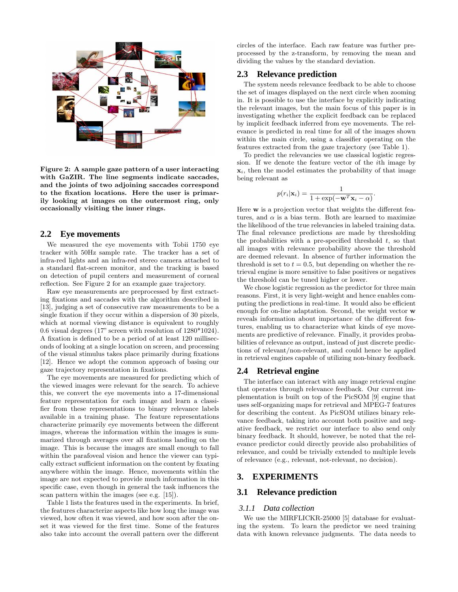

Figure 2: A sample gaze pattern of a user interacting with GaZIR. The line segments indicate saccades, and the joints of two adjoining saccades correspond to the fixation locations. Here the user is primarily looking at images on the outermost ring, only occasionally visiting the inner rings.

### **2.2 Eye movements**

We measured the eye movements with Tobii 1750 eye tracker with 50Hz sample rate. The tracker has a set of infra-red lights and an infra-red stereo camera attached to a standard flat-screen monitor, and the tracking is based on detection of pupil centers and measurement of corneal reflection. See Figure 2 for an example gaze trajectory.

Raw eye measurements are preprocessed by first extracting fixations and saccades with the algorithm described in [13], judging a set of consecutive raw measurements to be a single fixation if they occur within a dispersion of 30 pixels, which at normal viewing distance is equivalent to roughly 0.6 visual degrees (17" screen with resolution of 1280\*1024). A fixation is defined to be a period of at least 120 milliseconds of looking at a single location on screen, and processing of the visual stimulus takes place primarily during fixations [12]. Hence we adopt the common approach of basing our gaze trajectory representation in fixations.

The eye movements are measured for predicting which of the viewed images were relevant for the search. To achieve this, we convert the eye movements into a 17-dimensional feature representation for each image and learn a classifier from these representations to binary relevance labels available in a training phase. The feature representations characterize primarily eye movements between the different images, whereas the information within the images is summarized through averages over all fixations landing on the image. This is because the images are small enough to fall within the parafoveal vision and hence the viewer can typically extract sufficient information on the content by fixating anywhere within the image. Hence, movements within the image are not expected to provide much information in this specific case, even though in general the task influences the scan pattern within the images (see e.g. [15]).

Table 1 lists the features used in the experiments. In brief, the features characterize aspects like how long the image was viewed, how often it was viewed, and how soon after the onset it was viewed for the first time. Some of the features also take into account the overall pattern over the different

circles of the interface. Each raw feature was further preprocessed by the z-transform, by removing the mean and dividing the values by the standard deviation.

#### **2.3 Relevance prediction**

The system needs relevance feedback to be able to choose the set of images displayed on the next circle when zooming in. It is possible to use the interface by explicitly indicating the relevant images, but the main focus of this paper is in investigating whether the explicit feedback can be replaced by implicit feedback inferred from eye movements. The relevance is predicted in real time for all of the images shown within the main circle, using a classifier operating on the features extracted from the gaze trajectory (see Table 1).

To predict the relevancies we use classical logistic regression. If we denote the feature vector of the ith image by  $x_i$ , then the model estimates the probability of that image being relevant as

$$
p(r_i|\mathbf{x}_i) = \frac{1}{1 + \exp(-\mathbf{w}^T \mathbf{x}_i - \alpha)}.
$$

Here w is a projection vector that weights the different features, and  $\alpha$  is a bias term. Both are learned to maximize the likelihood of the true relevancies in labeled training data. The final relevance predictions are made by thresholding the probabilities with a pre-specified threshold  $t$ , so that all images with relevance probability above the threshold are deemed relevant. In absence of further information the threshold is set to  $t = 0.5$ , but depending on whether the retrieval engine is more sensitive to false positives or negatives the threshold can be tuned higher or lower.

We chose logistic regression as the predictor for three main reasons. First, it is very light-weight and hence enables computing the predictions in real-time. It would also be efficient enough for on-line adaptation. Second, the weight vector w reveals information about importance of the different features, enabling us to characterize what kinds of eye movements are predictive of relevance. Finally, it provides probabilities of relevance as output, instead of just discrete predictions of relevant/non-relevant, and could hence be applied in retrieval engines capable of utilizing non-binary feedback.

#### **2.4 Retrieval engine**

The interface can interact with any image retrieval engine that operates through relevance feedback. Our current implementation is built on top of the PicSOM [9] engine that uses self-organizing maps for retrieval and MPEG-7 features for describing the content. As PicSOM utilizes binary relevance feedback, taking into account both positive and negative feedback, we restrict our interface to also send only binary feedback. It should, however, be noted that the relevance predictor could directly provide also probabilities of relevance, and could be trivially extended to multiple levels of relevance (e.g., relevant, not-relevant, no decision).

# **3. EXPERIMENTS**

#### **3.1 Relevance prediction**

#### *3.1.1 Data collection*

We use the MIRFLICKR-25000 [5] database for evaluating the system. To learn the predictor we need training data with known relevance judgments. The data needs to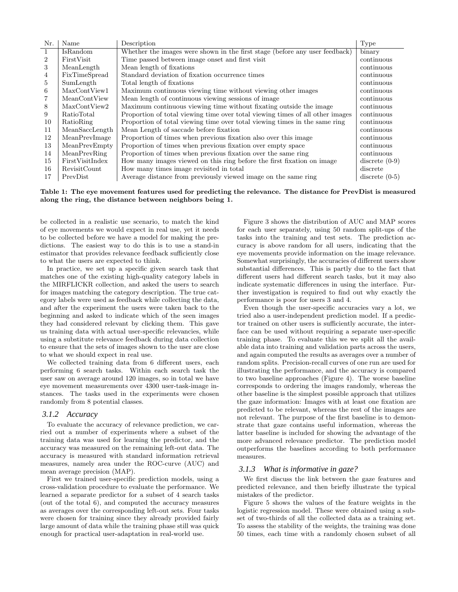| Nr.            | Name            | Description                                                                   | Type             |
|----------------|-----------------|-------------------------------------------------------------------------------|------------------|
| $\mathbf{1}$   | IsRandom        | Whether the images were shown in the first stage (before any user feedback)   | binary           |
| $\overline{2}$ | FirstVisit      | Time passed between image onset and first visit                               | continuous       |
| 3              | MeanLength      | Mean length of fixations                                                      | continuous       |
| $\overline{4}$ | FixTimeSpread   | Standard deviation of fixation occurrence times                               | continuous       |
| $\overline{5}$ | SumLength       | Total length of fixations                                                     | continuous       |
| 6              | MaxContView1    | Maximum continuous viewing time without viewing other images                  | continuous       |
|                | MeanContView    | Mean length of continuous viewing sessions of image                           | continuous       |
| 8              | MaxContView2    | Maximum continuous viewing time without fixating outside the image            | continuous       |
| 9              | RatioTotal      | Proportion of total viewing time over total viewing times of all other images | continuous       |
| 10             | RatioRing       | Proportion of total viewing time over total viewing times in the same ring    | continuous       |
| 11             | MeanSaccLength  | Mean Length of saccade before fixation                                        | continuous       |
| 12             | MeanPrevImage   | Proportion of times when previous fixation also over this image               | continuous       |
| 13             | MeanPrevEmpty   | Proportion of times when previous fixation over empty space                   | continuous       |
| 14             | MeanPrevRing    | Proportion of times when previous fixation over the same ring                 | continuous       |
| 15             | FirstVisitIndex | How many images viewed on this ring before the first fixation on image        | $discrete (0-9)$ |
| 16             | RevisitCount    | How many times image revisited in total                                       | discrete         |
| 17             | PrevDist        | Average distance from previously viewed image on the same ring                | discrete $(0-5)$ |

Table 1: The eye movement features used for predicting the relevance. The distance for PrevDist is measured along the ring, the distance between neighbors being 1.

be collected in a realistic use scenario, to match the kind of eye movements we would expect in real use, yet it needs to be collected before we have a model for making the predictions. The easiest way to do this is to use a stand-in estimator that provides relevance feedback sufficiently close to what the users are expected to think.

In practice, we set up a specific given search task that matches one of the existing high-quality category labels in the MIRFLICKR collection, and asked the users to search for images matching the category description. The true category labels were used as feedback while collecting the data, and after the experiment the users were taken back to the beginning and asked to indicate which of the seen images they had considered relevant by clicking them. This gave us training data with actual user-specific relevancies, while using a substitute relevance feedback during data collection to ensure that the sets of images shown to the user are close to what we should expect in real use.

We collected training data from 6 different users, each performing 6 search tasks. Within each search task the user saw on average around 120 images, so in total we have eye movement measurements over 4300 user-task-image instances. The tasks used in the experiments were chosen randomly from 8 potential classes.

#### *3.1.2 Accuracy*

To evaluate the accuracy of relevance prediction, we carried out a number of experiments where a subset of the training data was used for learning the predictor, and the accuracy was measured on the remaining left-out data. The accuracy is measured with standard information retrieval measures, namely area under the ROC-curve (AUC) and mean average precision (MAP).

First we trained user-specific prediction models, using a cross-validation procedure to evaluate the performance. We learned a separate predictor for a subset of 4 search tasks (out of the total 6), and computed the accuracy measures as averages over the corresponding left-out sets. Four tasks were chosen for training since they already provided fairly large amount of data while the training phase still was quick enough for practical user-adaptation in real-world use.

Figure 3 shows the distribution of AUC and MAP scores for each user separately, using 50 random split-ups of the tasks into the training and test sets. The prediction accuracy is above random for all users, indicating that the eye movements provide information on the image relevance. Somewhat surprisingly, the accuracies of different users show substantial differences. This is partly due to the fact that different users had different search tasks, but it may also indicate systematic differences in using the interface. Further investigation is required to find out why exactly the performance is poor for users 3 and 4.

Even though the user-specific accuracies vary a lot, we tried also a user-independent prediction model. If a predictor trained on other users is sufficiently accurate, the interface can be used without requiring a separate user-specific training phase. To evaluate this we we split all the available data into training and validation parts across the users, and again computed the results as averages over a number of random splits. Precision-recall curves of one run are used for illustrating the performance, and the accuracy is compared to two baseline approaches (Figure 4). The worse baseline corresponds to ordering the images randomly, whereas the other baseline is the simplest possible approach that utilizes the gaze information: Images with at least one fixation are predicted to be relevant, whereas the rest of the images are not relevant. The purpose of the first baseline is to demonstrate that gaze contains useful information, whereas the latter baseline is included for showing the advantage of the more advanced relevance predictor. The prediction model outperforms the baselines according to both performance measures.

#### *3.1.3 What is informative in gaze?*

We first discuss the link between the gaze features and predicted relevance, and then briefly illustrate the typical mistakes of the predictor.

Figure 5 shows the values of the feature weights in the logistic regression model. These were obtained using a subset of two-thirds of all the collected data as a training set. To assess the stability of the weights, the training was done 50 times, each time with a randomly chosen subset of all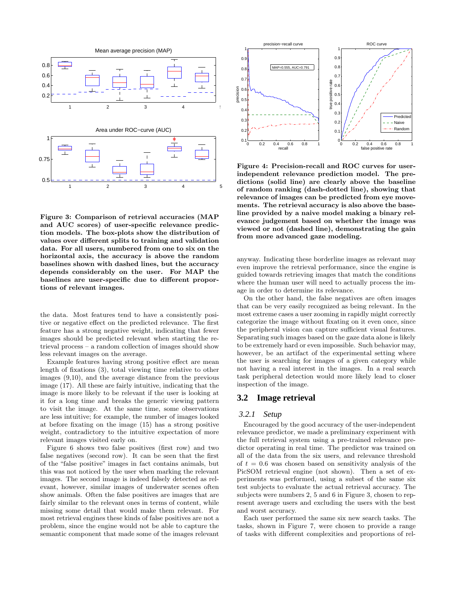

Figure 3: Comparison of retrieval accuracies (MAP and AUC scores) of user-specific relevance prediction models. The box-plots show the distribution of values over different splits to training and validation data. For all users, numbered from one to six on the horizontal axis, the accuracy is above the random baselines shown with dashed lines, but the accuracy depends considerably on the user. For MAP the baselines are user-specific due to different proportions of relevant images.

the data. Most features tend to have a consistently positive or negative effect on the predicted relevance. The first feature has a strong negative weight, indicating that fewer images should be predicted relevant when starting the retrieval process – a random collection of images should show less relevant images on the average.

Example features having strong positive effect are mean length of fixations (3), total viewing time relative to other images (9,10), and the average distance from the previous image (17). All these are fairly intuitive, indicating that the image is more likely to be relevant if the user is looking at it for a long time and breaks the generic viewing pattern to visit the image. At the same time, some observations are less intuitive; for example, the number of images looked at before fixating on the image (15) has a strong positive weight, contradictory to the intuitive expectation of more relevant images visited early on.

Figure 6 shows two false positives (first row) and two false negatives (second row). It can be seen that the first of the "false positive" images in fact contains animals, but this was not noticed by the user when marking the relevant images. The second image is indeed falsely detected as relevant, however, similar images of underwater scenes often show animals. Often the false positives are images that are fairly similar to the relevant ones in terms of content, while missing some detail that would make them relevant. For most retrieval engines these kinds of false positives are not a problem, since the engine would not be able to capture the semantic component that made some of the images relevant



Figure 4: Precision-recall and ROC curves for userindependent relevance prediction model. The predictions (solid line) are clearly above the baseline of random ranking (dash-dotted line), showing that relevance of images can be predicted from eye movements. The retrieval accuracy is also above the baseline provided by a naive model making a binary relevance judgement based on whether the image was viewed or not (dashed line), demonstrating the gain from more advanced gaze modeling.

anyway. Indicating these borderline images as relevant may even improve the retrieval performance, since the engine is guided towards retrieving images that match the conditions where the human user will need to actually process the image in order to determine its relevance.

On the other hand, the false negatives are often images that can be very easily recognized as being relevant. In the most extreme cases a user zooming in rapidly might correctly categorize the image without fixating on it even once, since the peripheral vision can capture sufficient visual features. Separating such images based on the gaze data alone is likely to be extremely hard or even impossible. Such behavior may, however, be an artifact of the experimental setting where the user is searching for images of a given category while not having a real interest in the images. In a real search task peripheral detection would more likely lead to closer inspection of the image.

# **3.2 Image retrieval**

#### *3.2.1 Setup*

Encouraged by the good accuracy of the user-independent relevance predictor, we made a preliminary experiment with the full retrieval system using a pre-trained relevance predictor operating in real time. The predictor was trained on all of the data from the six users, and relevance threshold of  $t = 0.6$  was chosen based on sensitivity analysis of the PicSOM retrieval engine (not shown). Then a set of experiments was performed, using a subset of the same six test subjects to evaluate the actual retrieval accuracy. The subjects were numbers 2, 5 and 6 in Figure 3, chosen to represent average users and excluding the users with the best and worst accuracy.

Each user performed the same six new search tasks. The tasks, shown in Figure 7, were chosen to provide a range of tasks with different complexities and proportions of rel-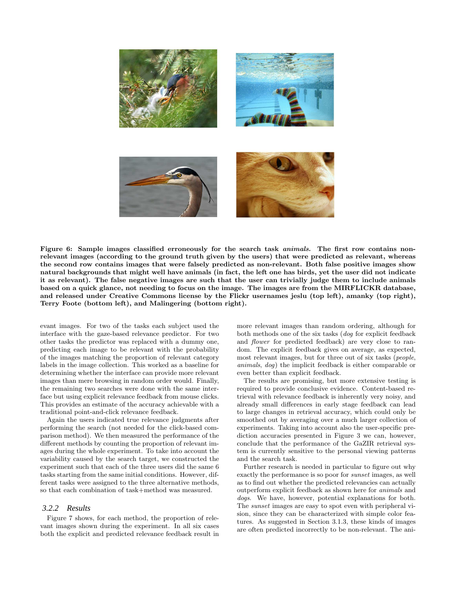

Figure 6: Sample images classified erroneously for the search task *animals*. The first row contains nonrelevant images (according to the ground truth given by the users) that were predicted as relevant, whereas the second row contains images that were falsely predicted as non-relevant. Both false positive images show natural backgrounds that might well have animals (in fact, the left one has birds, yet the user did not indicate it as relevant). The false negative images are such that the user can trivially judge them to include animals based on a quick glance, not needing to focus on the image. The images are from the MIRFLICKR database, and released under Creative Commons license by the Flickr usernames jeslu (top left), amanky (top right), Terry Foote (bottom left), and Malingering (bottom right).

evant images. For two of the tasks each subject used the interface with the gaze-based relevance predictor. For two other tasks the predictor was replaced with a dummy one, predicting each image to be relevant with the probability of the images matching the proportion of relevant category labels in the image collection. This worked as a baseline for determining whether the interface can provide more relevant images than mere browsing in random order would. Finally, the remaining two searches were done with the same interface but using explicit relevance feedback from mouse clicks. This provides an estimate of the accuracy achievable with a traditional point-and-click relevance feedback.

Again the users indicated true relevance judgments after performing the search (not needed for the click-based comparison method). We then measured the performance of the different methods by counting the proportion of relevant images during the whole experiment. To take into account the variability caused by the search target, we constructed the experiment such that each of the three users did the same 6 tasks starting from the same initial conditions. However, different tasks were assigned to the three alternative methods, so that each combination of task+method was measured.

#### *3.2.2 Results*

Figure 7 shows, for each method, the proportion of relevant images shown during the experiment. In all six cases both the explicit and predicted relevance feedback result in more relevant images than random ordering, although for both methods one of the six tasks (*dog* for explicit feedback and *flower* for predicted feedback) are very close to random. The explicit feedback gives on average, as expected, most relevant images, but for three out of six tasks (*people*, *animals*, *dog*) the implicit feedback is either comparable or even better than explicit feedback.

The results are promising, but more extensive testing is required to provide conclusive evidence. Content-based retrieval with relevance feedback is inherently very noisy, and already small differences in early stage feedback can lead to large changes in retrieval accuracy, which could only be smoothed out by averaging over a much larger collection of experiments. Taking into account also the user-specific prediction accuracies presented in Figure 3 we can, however, conclude that the performance of the GaZIR retrieval system is currently sensitive to the personal viewing patterns and the search task.

Further research is needed in particular to figure out why exactly the performance is so poor for *sunset* images, as well as to find out whether the predicted relevancies can actually outperform explicit feedback as shown here for *animals* and *dogs*. We have, however, potential explanations for both. The *sunset* images are easy to spot even with peripheral vision, since they can be characterized with simple color features. As suggested in Section 3.1.3, these kinds of images are often predicted incorrectly to be non-relevant. The ani-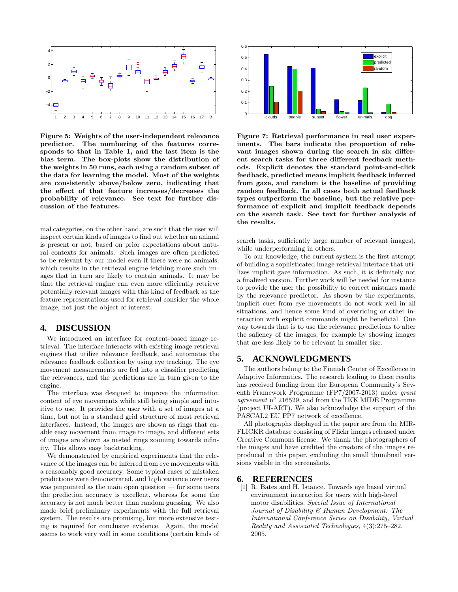

Figure 5: Weights of the user-independent relevance predictor. The numbering of the features corresponds to that in Table 1, and the last item is the bias term. The box-plots show the distribution of the weights in 50 runs, each using a random subset of the data for learning the model. Most of the weights are consistently above/below zero, indicating that the effect of that feature increases/decreases the probability of relevance. See text for further discussion of the features.

mal categories, on the other hand, are such that the user will inspect certain kinds of images to find out whether an animal is present or not, based on prior expectations about natural contexts for animals. Such images are often predicted to be relevant by our model even if there were no animals, which results in the retrieval engine fetching more such images that in turn are likely to contain animals. It may be that the retrieval engine can even more efficiently retrieve potentially relevant images with this kind of feedback as the feature representations used for retrieval consider the whole image, not just the object of interest.

#### **4. DISCUSSION**

We introduced an interface for content-based image retrieval. The interface interacts with existing image retrieval engines that utilize relevance feedback, and automates the relevance feedback collection by using eye tracking. The eye movement measurements are fed into a classifier predicting the relevances, and the predictions are in turn given to the engine.

The interface was designed to improve the information content of eye movements while still being simple and intuitive to use. It provides the user with a set of images at a time, but not in a standard grid structure of most retrieval interfaces. Instead, the images are shown as rings that enable easy movement from image to image, and different sets of images are shown as nested rings zooming towards infinity. This allows easy backtracking.

We demonstrated by empirical experiments that the relevance of the images can be inferred from eye movements with a reasonably good accuracy. Some typical cases of mistaken predictions were demonstrated, and high variance over users was pinpointed as the main open question — for some users the prediction accuracy is excellent, whereas for some the accuracy is not much better than random guessing. We also made brief preliminary experiments with the full retrieval system. The results are promising, but more extensive testing is required for conclusive evidence. Again, the model seems to work very well in some conditions (certain kinds of



Figure 7: Retrieval performance in real user experiments. The bars indicate the proportion of relevant images shown during the search in six different search tasks for three different feedback methods. Explicit denotes the standard point-and-click feedback, predicted means implicit feedback inferred from gaze, and random is the baseline of providing random feedback. In all cases both actual feedback types outperform the baseline, but the relative performance of explicit and implicit feedback depends on the search task. See text for further analysis of the results.

search tasks, sufficiently large number of relevant images), while underperforming in others.

To our knowledge, the current system is the first attempt of building a sophisticated image retrieval interface that utilizes implicit gaze information. As such, it is definitely not a finalized version. Further work will be needed for instance to provide the user the possibility to correct mistakes made by the relevance predictor. As shown by the experiments, implicit cues from eye movements do not work well in all situations, and hence some kind of overriding or other interaction with explicit commands might be beneficial. One way towards that is to use the relevance predictions to alter the saliency of the images, for example by showing images that are less likely to be relevant in smaller size.

# **5. ACKNOWLEDGMENTS**

The authors belong to the Finnish Center of Excellence in Adaptive Informatics. The research leading to these results has received funding from the European Community's Seventh Framework Programme (FP7/2007-2013) under *grant* agreement n° 216529, and from the TKK MIDE Programme (project UI-ART). We also acknowledge the support of the PASCAL2 EU FP7 network of excellence.

All photographs displayed in the paper are from the MIR-FLICKR database consisting of Flickr images released under Creative Commons license. We thank the photographers of the images and have credited the creators of the images reproduced in this paper, excluding the small thumbnail versions visible in the screenshots.

# **6. REFERENCES**

[1] R. Bates and H. Istance. Towards eye based virtual environment interaction for users with high-level motor disabilities. *Special Issue of International Journal of Disability & Human Development: The International Conference Series on Disability, Virtual Reality and Associated Technologies*, 4(3):275–282, 2005.